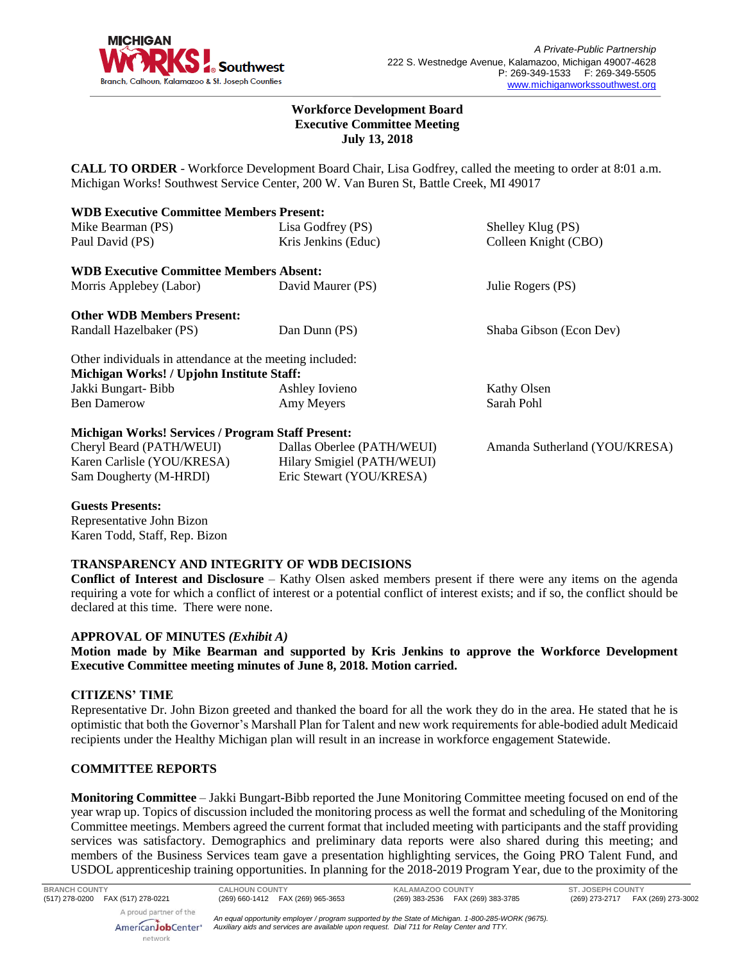

### **Workforce Development Board Executive Committee Meeting July 13, 2018**

**CALL TO ORDER** - Workforce Development Board Chair, Lisa Godfrey, called the meeting to order at 8:01 a.m. Michigan Works! Southwest Service Center, 200 W. Van Buren St, Battle Creek, MI 49017

| <b>WDB Executive Committee Members Present:</b>          |                            |                               |
|----------------------------------------------------------|----------------------------|-------------------------------|
| Mike Bearman (PS)                                        | Lisa Godfrey (PS)          | Shelley Klug (PS)             |
| Paul David (PS)                                          | Kris Jenkins (Educ)        | Colleen Knight (CBO)          |
| <b>WDB Executive Committee Members Absent:</b>           |                            |                               |
| Morris Applebey (Labor)                                  | David Maurer (PS)          | Julie Rogers (PS)             |
| <b>Other WDB Members Present:</b>                        |                            |                               |
| Randall Hazelbaker (PS)                                  | Dan Dunn (PS)              | Shaba Gibson (Econ Dev)       |
| Other individuals in attendance at the meeting included: |                            |                               |
| Michigan Works! / Upjohn Institute Staff:                |                            |                               |
| Jakki Bungart- Bibb                                      | Ashley Iovieno             | Kathy Olsen                   |
| <b>Ben Damerow</b>                                       | Amy Meyers                 | Sarah Pohl                    |
| <b>Michigan Works! Services / Program Staff Present:</b> |                            |                               |
| Cheryl Beard (PATH/WEUI)                                 | Dallas Oberlee (PATH/WEUI) | Amanda Sutherland (YOU/KRESA) |
| Karen Carlisle (YOU/KRESA)                               | Hilary Smigiel (PATH/WEUI) |                               |
| Sam Dougherty (M-HRDI)                                   | Eric Stewart (YOU/KRESA)   |                               |

### **Guests Presents:**

Representative John Bizon Karen Todd, Staff, Rep. Bizon

### **TRANSPARENCY AND INTEGRITY OF WDB DECISIONS**

**Conflict of Interest and Disclosure** – Kathy Olsen asked members present if there were any items on the agenda requiring a vote for which a conflict of interest or a potential conflict of interest exists; and if so, the conflict should be declared at this time. There were none.

### **APPROVAL OF MINUTES** *(Exhibit A)*

**Motion made by Mike Bearman and supported by Kris Jenkins to approve the Workforce Development Executive Committee meeting minutes of June 8, 2018. Motion carried.** 

### **CITIZENS' TIME**

Representative Dr. John Bizon greeted and thanked the board for all the work they do in the area. He stated that he is optimistic that both the Governor's Marshall Plan for Talent and new work requirements for able-bodied adult Medicaid recipients under the Healthy Michigan plan will result in an increase in workforce engagement Statewide.

## **COMMITTEE REPORTS**

**Monitoring Committee** – Jakki Bungart-Bibb reported the June Monitoring Committee meeting focused on end of the year wrap up. Topics of discussion included the monitoring process as well the format and scheduling of the Monitoring Committee meetings. Members agreed the current format that included meeting with participants and the staff providing services was satisfactory. Demographics and preliminary data reports were also shared during this meeting; and members of the Business Services team gave a presentation highlighting services, the Going PRO Talent Fund, and USDOL apprenticeship training opportunities. In planning for the 2018-2019 Program Year, due to the proximity of the

*An equal opportunity employer / program supported by the State of Michigan. 1-800-285-WORK (9675). Auxiliary aids and services are available upon request. Dial 711 for Relay Center and TTY.*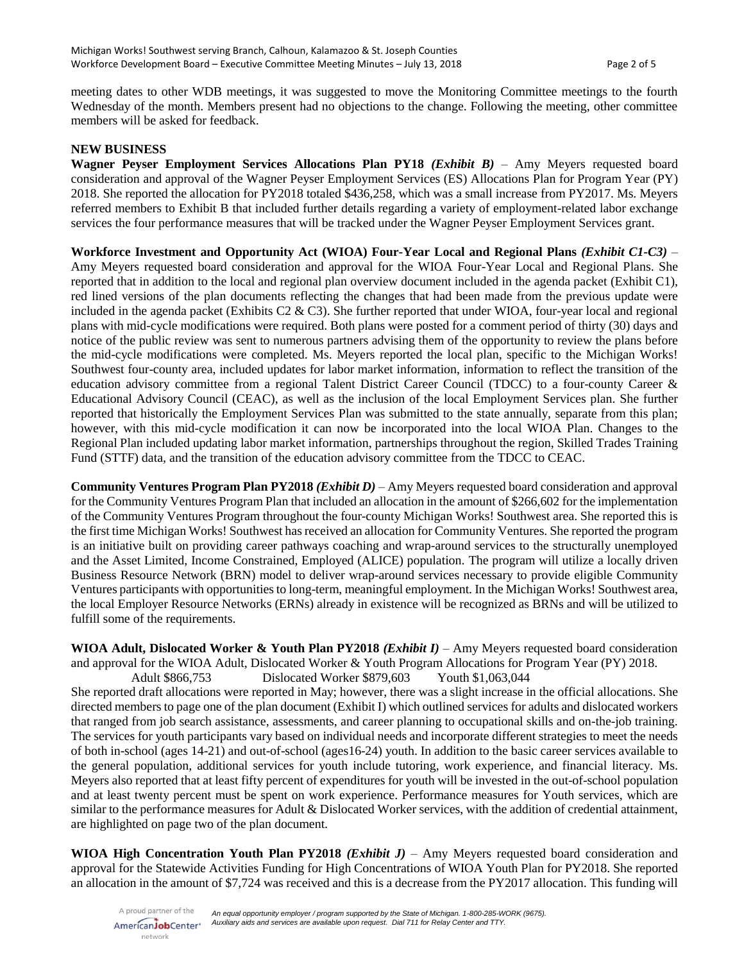meeting dates to other WDB meetings, it was suggested to move the Monitoring Committee meetings to the fourth Wednesday of the month. Members present had no objections to the change. Following the meeting, other committee members will be asked for feedback.

### **NEW BUSINESS**

**Wagner Peyser Employment Services Allocations Plan PY18** *(Exhibit B)* – Amy Meyers requested board consideration and approval of the Wagner Peyser Employment Services (ES) Allocations Plan for Program Year (PY) 2018. She reported the allocation for PY2018 totaled \$436,258, which was a small increase from PY2017. Ms. Meyers referred members to Exhibit B that included further details regarding a variety of employment-related labor exchange services the four performance measures that will be tracked under the Wagner Peyser Employment Services grant.

**Workforce Investment and Opportunity Act (WIOA) Four-Year Local and Regional Plans** *(Exhibit C1-C3)* – Amy Meyers requested board consideration and approval for the WIOA Four-Year Local and Regional Plans. She reported that in addition to the local and regional plan overview document included in the agenda packet (Exhibit C1), red lined versions of the plan documents reflecting the changes that had been made from the previous update were included in the agenda packet (Exhibits C2  $\&$  C3). She further reported that under WIOA, four-year local and regional plans with mid-cycle modifications were required. Both plans were posted for a comment period of thirty (30) days and notice of the public review was sent to numerous partners advising them of the opportunity to review the plans before the mid-cycle modifications were completed. Ms. Meyers reported the local plan, specific to the Michigan Works! Southwest four-county area, included updates for labor market information, information to reflect the transition of the education advisory committee from a regional Talent District Career Council (TDCC) to a four-county Career & Educational Advisory Council (CEAC), as well as the inclusion of the local Employment Services plan. She further reported that historically the Employment Services Plan was submitted to the state annually, separate from this plan; however, with this mid-cycle modification it can now be incorporated into the local WIOA Plan. Changes to the Regional Plan included updating labor market information, partnerships throughout the region, Skilled Trades Training Fund (STTF) data, and the transition of the education advisory committee from the TDCC to CEAC.

**Community Ventures Program Plan PY2018** *(Exhibit D)* – Amy Meyers requested board consideration and approval for the Community Ventures Program Plan that included an allocation in the amount of \$266,602 for the implementation of the Community Ventures Program throughout the four-county Michigan Works! Southwest area. She reported this is the first time Michigan Works! Southwest has received an allocation for Community Ventures. She reported the program is an initiative built on providing career pathways coaching and wrap-around services to the structurally unemployed and the Asset Limited, Income Constrained, Employed (ALICE) population. The program will utilize a locally driven Business Resource Network (BRN) model to deliver wrap-around services necessary to provide eligible Community Ventures participants with opportunities to long-term, meaningful employment. In the Michigan Works! Southwest area, the local Employer Resource Networks (ERNs) already in existence will be recognized as BRNs and will be utilized to fulfill some of the requirements.

**WIOA Adult, Dislocated Worker & Youth Plan PY2018** *(Exhibit I)* – Amy Meyers requested board consideration and approval for the WIOA Adult, Dislocated Worker & Youth Program Allocations for Program Year (PY) 2018. Adult \$866,753 Dislocated Worker \$879,603 Youth \$1,063,044

She reported draft allocations were reported in May; however, there was a slight increase in the official allocations. She directed members to page one of the plan document (Exhibit I) which outlined services for adults and dislocated workers that ranged from job search assistance, assessments, and career planning to occupational skills and on-the-job training. The services for youth participants vary based on individual needs and incorporate different strategies to meet the needs of both in-school (ages 14-21) and out-of-school (ages16-24) youth. In addition to the basic career services available to the general population, additional services for youth include tutoring, work experience, and financial literacy. Ms. Meyers also reported that at least fifty percent of expenditures for youth will be invested in the out-of-school population and at least twenty percent must be spent on work experience. Performance measures for Youth services, which are similar to the performance measures for Adult & Dislocated Worker services, with the addition of credential attainment, are highlighted on page two of the plan document.

**WIOA High Concentration Youth Plan PY2018** *(Exhibit J)* – Amy Meyers requested board consideration and approval for the Statewide Activities Funding for High Concentrations of WIOA Youth Plan for PY2018. She reported an allocation in the amount of \$7,724 was received and this is a decrease from the PY2017 allocation. This funding will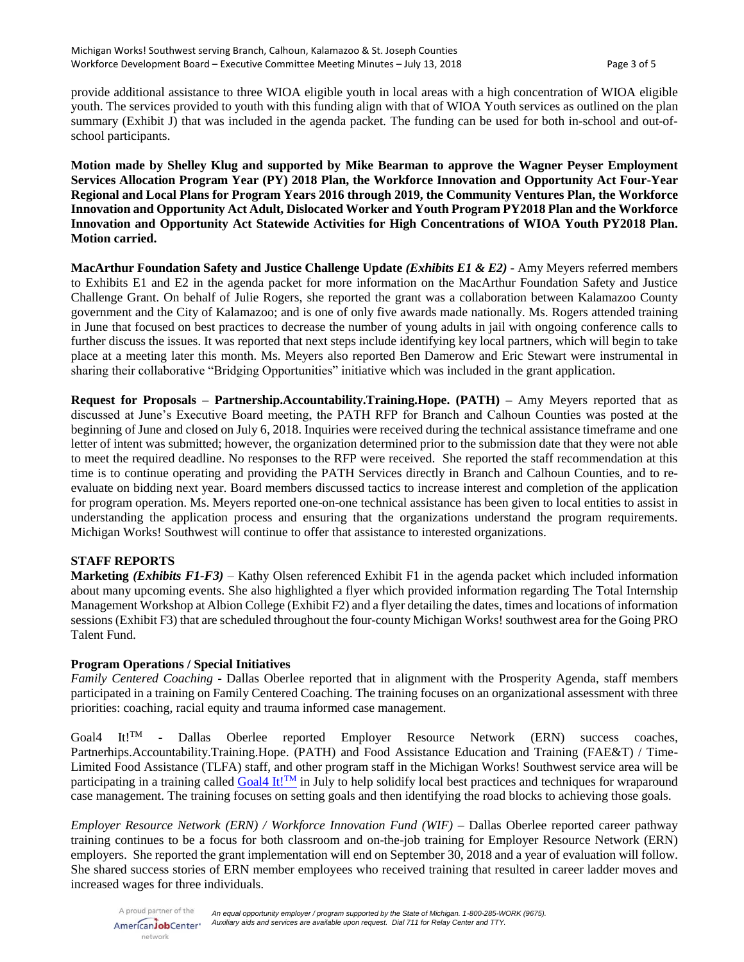provide additional assistance to three WIOA eligible youth in local areas with a high concentration of WIOA eligible youth. The services provided to youth with this funding align with that of WIOA Youth services as outlined on the plan summary (Exhibit J) that was included in the agenda packet. The funding can be used for both in-school and out-ofschool participants.

**Motion made by Shelley Klug and supported by Mike Bearman to approve the Wagner Peyser Employment Services Allocation Program Year (PY) 2018 Plan, the Workforce Innovation and Opportunity Act Four-Year Regional and Local Plans for Program Years 2016 through 2019, the Community Ventures Plan, the Workforce Innovation and Opportunity Act Adult, Dislocated Worker and Youth Program PY2018 Plan and the Workforce Innovation and Opportunity Act Statewide Activities for High Concentrations of WIOA Youth PY2018 Plan. Motion carried.**

**MacArthur Foundation Safety and Justice Challenge Update** *(Exhibits E1 & E2)* **-** Amy Meyers referred members to Exhibits E1 and E2 in the agenda packet for more information on the MacArthur Foundation Safety and Justice Challenge Grant. On behalf of Julie Rogers, she reported the grant was a collaboration between Kalamazoo County government and the City of Kalamazoo; and is one of only five awards made nationally. Ms. Rogers attended training in June that focused on best practices to decrease the number of young adults in jail with ongoing conference calls to further discuss the issues. It was reported that next steps include identifying key local partners, which will begin to take place at a meeting later this month. Ms. Meyers also reported Ben Damerow and Eric Stewart were instrumental in sharing their collaborative "Bridging Opportunities" initiative which was included in the grant application.

**Request for Proposals – Partnership.Accountability.Training.Hope. (PATH) –** Amy Meyers reported that as discussed at June's Executive Board meeting, the PATH RFP for Branch and Calhoun Counties was posted at the beginning of June and closed on July 6, 2018. Inquiries were received during the technical assistance timeframe and one letter of intent was submitted; however, the organization determined prior to the submission date that they were not able to meet the required deadline. No responses to the RFP were received. She reported the staff recommendation at this time is to continue operating and providing the PATH Services directly in Branch and Calhoun Counties, and to reevaluate on bidding next year. Board members discussed tactics to increase interest and completion of the application for program operation. Ms. Meyers reported one-on-one technical assistance has been given to local entities to assist in understanding the application process and ensuring that the organizations understand the program requirements. Michigan Works! Southwest will continue to offer that assistance to interested organizations.

# **STAFF REPORTS**

**Marketing** *(Exhibits F1-F3)* – Kathy Olsen referenced Exhibit F1 in the agenda packet which included information about many upcoming events. She also highlighted a flyer which provided information regarding The Total Internship Management Workshop at Albion College (Exhibit F2) and a flyer detailing the dates, times and locations of information sessions (Exhibit F3) that are scheduled throughout the four-county Michigan Works! southwest area for the Going PRO Talent Fund.

### **Program Operations / Special Initiatives**

*Family Centered Coaching* - Dallas Oberlee reported that in alignment with the Prosperity Agenda, staff members participated in a training on Family Centered Coaching. The training focuses on an organizational assessment with three priorities: coaching, racial equity and trauma informed case management.

Goal4 It!<sup>TM</sup> - Dallas Oberlee reported Employer Resource Network (ERN) success coaches, Partnerhips.Accountability.Training.Hope. (PATH) and Food Assistance Education and Training (FAE&T) / Time-Limited Food Assistance (TLFA) staff, and other program staff in the Michigan Works! Southwest service area will be participating in a training called [Goal4 It!](https://www.mathematica-mpr.com/video/goal4-it)<sup>TM</sup> in July to help solidify local best practices and techniques for wraparound case management. The training focuses on setting goals and then identifying the road blocks to achieving those goals.

*Employer Resource Network (ERN) / Workforce Innovation Fund (WIF) –* Dallas Oberlee reported career pathway training continues to be a focus for both classroom and on-the-job training for Employer Resource Network (ERN) employers. She reported the grant implementation will end on September 30, 2018 and a year of evaluation will follow. She shared success stories of ERN member employees who received training that resulted in career ladder moves and increased wages for three individuals.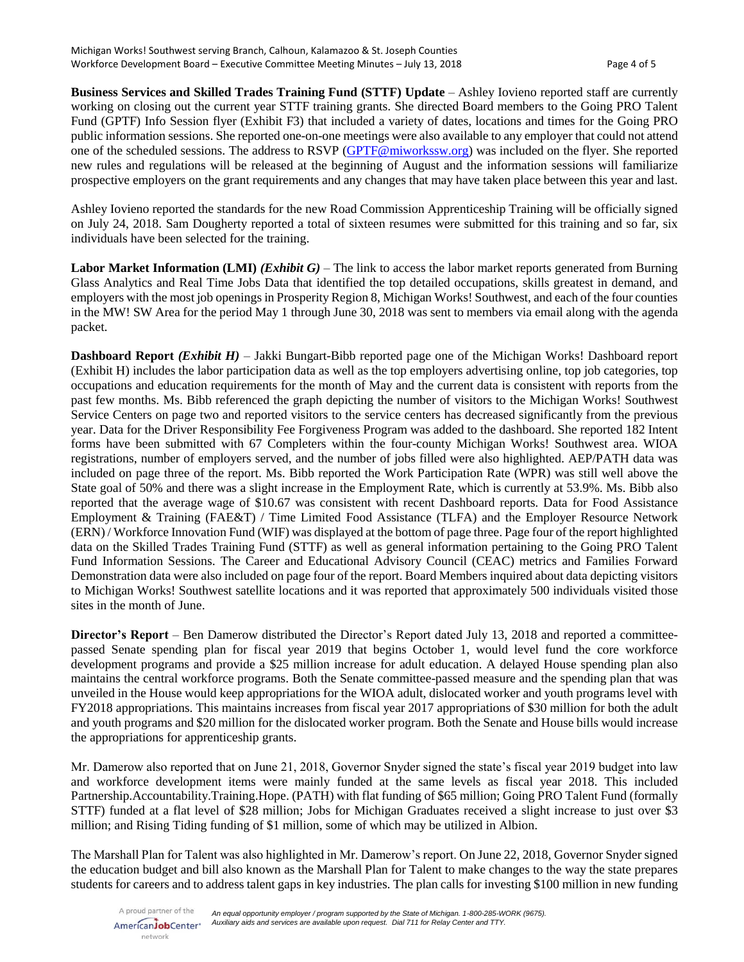**Business Services and Skilled Trades Training Fund (STTF) Update** – Ashley Iovieno reported staff are currently working on closing out the current year STTF training grants. She directed Board members to the Going PRO Talent Fund (GPTF) Info Session flyer (Exhibit F3) that included a variety of dates, locations and times for the Going PRO public information sessions. She reported one-on-one meetings were also available to any employer that could not attend one of the scheduled sessions. The address to RSVP [\(GPTF@miworkssw.org\)](mailto:GPTF@miworkssw.org) was included on the flyer. She reported new rules and regulations will be released at the beginning of August and the information sessions will familiarize prospective employers on the grant requirements and any changes that may have taken place between this year and last.

Ashley Iovieno reported the standards for the new Road Commission Apprenticeship Training will be officially signed on July 24, 2018. Sam Dougherty reported a total of sixteen resumes were submitted for this training and so far, six individuals have been selected for the training.

**Labor Market Information (LMI)** *(Exhibit G)* – The link to access the labor market reports generated from Burning Glass Analytics and Real Time Jobs Data that identified the top detailed occupations, skills greatest in demand, and employers with the most job openings in Prosperity Region 8, Michigan Works! Southwest, and each of the four counties in the MW! SW Area for the period May 1 through June 30, 2018 was sent to members via email along with the agenda packet.

**Dashboard Report** *(Exhibit H)* – Jakki Bungart-Bibb reported page one of the Michigan Works! Dashboard report (Exhibit H) includes the labor participation data as well as the top employers advertising online, top job categories, top occupations and education requirements for the month of May and the current data is consistent with reports from the past few months. Ms. Bibb referenced the graph depicting the number of visitors to the Michigan Works! Southwest Service Centers on page two and reported visitors to the service centers has decreased significantly from the previous year. Data for the Driver Responsibility Fee Forgiveness Program was added to the dashboard. She reported 182 Intent forms have been submitted with 67 Completers within the four-county Michigan Works! Southwest area. WIOA registrations, number of employers served, and the number of jobs filled were also highlighted. AEP/PATH data was included on page three of the report. Ms. Bibb reported the Work Participation Rate (WPR) was still well above the State goal of 50% and there was a slight increase in the Employment Rate, which is currently at 53.9%. Ms. Bibb also reported that the average wage of \$10.67 was consistent with recent Dashboard reports. Data for Food Assistance Employment & Training (FAE&T) / Time Limited Food Assistance (TLFA) and the Employer Resource Network (ERN) / Workforce Innovation Fund (WIF) was displayed at the bottom of page three. Page four of the report highlighted data on the Skilled Trades Training Fund (STTF) as well as general information pertaining to the Going PRO Talent Fund Information Sessions. The Career and Educational Advisory Council (CEAC) metrics and Families Forward Demonstration data were also included on page four of the report. Board Members inquired about data depicting visitors to Michigan Works! Southwest satellite locations and it was reported that approximately 500 individuals visited those sites in the month of June.

**Director's Report** – Ben Damerow distributed the Director's Report dated July 13, 2018 and reported a committeepassed Senate spending plan for fiscal year 2019 that begins October 1, would level fund the core workforce development programs and provide a \$25 million increase for adult education. A delayed House spending plan also maintains the central workforce programs. Both the Senate committee-passed measure and the spending plan that was unveiled in the House would keep appropriations for the WIOA adult, dislocated worker and youth programs level with FY2018 appropriations. This maintains increases from fiscal year 2017 appropriations of \$30 million for both the adult and youth programs and \$20 million for the dislocated worker program. Both the Senate and House bills would increase the appropriations for apprenticeship grants.

Mr. Damerow also reported that on June 21, 2018, Governor Snyder signed the state's fiscal year 2019 budget into law and workforce development items were mainly funded at the same levels as fiscal year 2018. This included Partnership.Accountability.Training.Hope. (PATH) with flat funding of \$65 million; Going PRO Talent Fund (formally STTF) funded at a flat level of \$28 million; Jobs for Michigan Graduates received a slight increase to just over \$3 million; and Rising Tiding funding of \$1 million, some of which may be utilized in Albion.

The Marshall Plan for Talent was also highlighted in Mr. Damerow's report. On June 22, 2018, Governor Snyder signed the education budget and bill also known as the Marshall Plan for Talent to make changes to the way the state prepares students for careers and to address talent gaps in key industries. The plan calls for investing \$100 million in new funding